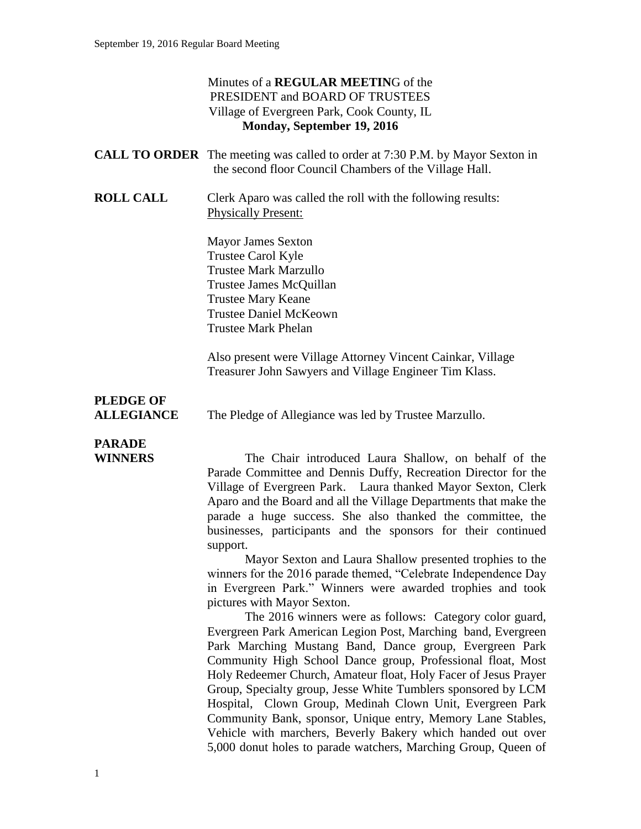### Minutes of a **REGULAR MEETIN**G of the PRESIDENT and BOARD OF TRUSTEES Village of Evergreen Park, Cook County, IL **Monday, September 19, 2016**

|                                       | <b>CALL TO ORDER</b> The meeting was called to order at 7:30 P.M. by Mayor Sexton in<br>the second floor Council Chambers of the Village Hall.                                                                                                                                                                                                                                                                                                                                                                                                                                                                                                                                                                                                                                                                                                                                                                                                                                                                                                                                                                                                                                                                                                                                            |
|---------------------------------------|-------------------------------------------------------------------------------------------------------------------------------------------------------------------------------------------------------------------------------------------------------------------------------------------------------------------------------------------------------------------------------------------------------------------------------------------------------------------------------------------------------------------------------------------------------------------------------------------------------------------------------------------------------------------------------------------------------------------------------------------------------------------------------------------------------------------------------------------------------------------------------------------------------------------------------------------------------------------------------------------------------------------------------------------------------------------------------------------------------------------------------------------------------------------------------------------------------------------------------------------------------------------------------------------|
| <b>ROLL CALL</b>                      | Clerk Aparo was called the roll with the following results:<br><b>Physically Present:</b>                                                                                                                                                                                                                                                                                                                                                                                                                                                                                                                                                                                                                                                                                                                                                                                                                                                                                                                                                                                                                                                                                                                                                                                                 |
|                                       | <b>Mayor James Sexton</b><br>Trustee Carol Kyle<br><b>Trustee Mark Marzullo</b><br>Trustee James McQuillan<br><b>Trustee Mary Keane</b><br><b>Trustee Daniel McKeown</b><br><b>Trustee Mark Phelan</b>                                                                                                                                                                                                                                                                                                                                                                                                                                                                                                                                                                                                                                                                                                                                                                                                                                                                                                                                                                                                                                                                                    |
|                                       | Also present were Village Attorney Vincent Cainkar, Village<br>Treasurer John Sawyers and Village Engineer Tim Klass.                                                                                                                                                                                                                                                                                                                                                                                                                                                                                                                                                                                                                                                                                                                                                                                                                                                                                                                                                                                                                                                                                                                                                                     |
| <b>PLEDGE OF</b><br><b>ALLEGIANCE</b> | The Pledge of Allegiance was led by Trustee Marzullo.                                                                                                                                                                                                                                                                                                                                                                                                                                                                                                                                                                                                                                                                                                                                                                                                                                                                                                                                                                                                                                                                                                                                                                                                                                     |
| <b>PARADE</b><br><b>WINNERS</b>       | The Chair introduced Laura Shallow, on behalf of the<br>Parade Committee and Dennis Duffy, Recreation Director for the<br>Village of Evergreen Park. Laura thanked Mayor Sexton, Clerk<br>Aparo and the Board and all the Village Departments that make the<br>parade a huge success. She also thanked the committee, the<br>businesses, participants and the sponsors for their continued<br>support.<br>Mayor Sexton and Laura Shallow presented trophies to the<br>winners for the 2016 parade themed, "Celebrate Independence Day<br>in Evergreen Park." Winners were awarded trophies and took<br>pictures with Mayor Sexton.<br>The 2016 winners were as follows: Category color guard,<br>Evergreen Park American Legion Post, Marching band, Evergreen<br>Park Marching Mustang Band, Dance group, Evergreen Park<br>Community High School Dance group, Professional float, Most<br>Holy Redeemer Church, Amateur float, Holy Facer of Jesus Prayer<br>Group, Specialty group, Jesse White Tumblers sponsored by LCM<br>Hospital, Clown Group, Medinah Clown Unit, Evergreen Park<br>Community Bank, sponsor, Unique entry, Memory Lane Stables,<br>Vehicle with marchers, Beverly Bakery which handed out over<br>5,000 donut holes to parade watchers, Marching Group, Queen of |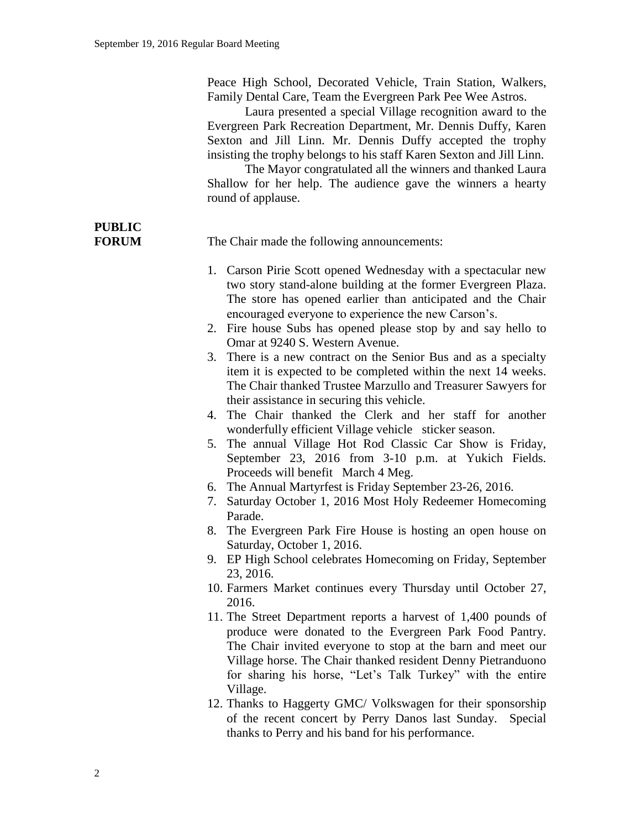Peace High School, Decorated Vehicle, Train Station, Walkers, Family Dental Care, Team the Evergreen Park Pee Wee Astros.

Laura presented a special Village recognition award to the Evergreen Park Recreation Department, Mr. Dennis Duffy, Karen Sexton and Jill Linn. Mr. Dennis Duffy accepted the trophy insisting the trophy belongs to his staff Karen Sexton and Jill Linn.

The Mayor congratulated all the winners and thanked Laura Shallow for her help. The audience gave the winners a hearty round of applause.

# **PUBLIC**

**FORUM** The Chair made the following announcements:

- 1. Carson Pirie Scott opened Wednesday with a spectacular new two story stand-alone building at the former Evergreen Plaza. The store has opened earlier than anticipated and the Chair encouraged everyone to experience the new Carson's.
- 2. Fire house Subs has opened please stop by and say hello to Omar at 9240 S. Western Avenue.
- 3. There is a new contract on the Senior Bus and as a specialty item it is expected to be completed within the next 14 weeks. The Chair thanked Trustee Marzullo and Treasurer Sawyers for their assistance in securing this vehicle.
- 4. The Chair thanked the Clerk and her staff for another wonderfully efficient Village vehicle sticker season.
- 5. The annual Village Hot Rod Classic Car Show is Friday, September 23, 2016 from 3-10 p.m. at Yukich Fields. Proceeds will benefit March 4 Meg.
- 6. The Annual Martyrfest is Friday September 23-26, 2016.
- 7. Saturday October 1, 2016 Most Holy Redeemer Homecoming Parade.
- 8. The Evergreen Park Fire House is hosting an open house on Saturday, October 1, 2016.
- 9. EP High School celebrates Homecoming on Friday, September 23, 2016.
- 10. Farmers Market continues every Thursday until October 27, 2016.
- 11. The Street Department reports a harvest of 1,400 pounds of produce were donated to the Evergreen Park Food Pantry. The Chair invited everyone to stop at the barn and meet our Village horse. The Chair thanked resident Denny Pietranduono for sharing his horse, "Let's Talk Turkey" with the entire Village.
- 12. Thanks to Haggerty GMC/ Volkswagen for their sponsorship of the recent concert by Perry Danos last Sunday. Special thanks to Perry and his band for his performance.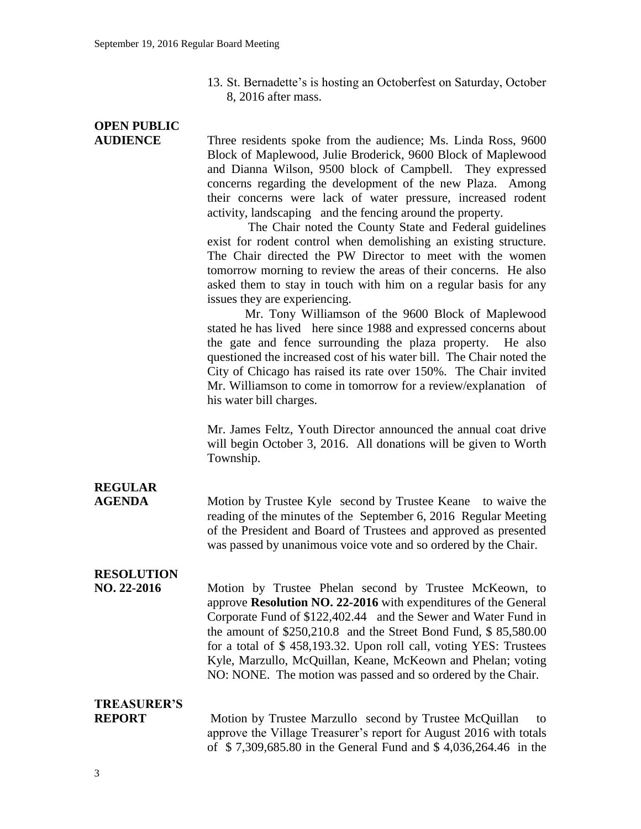13. St. Bernadette's is hosting an Octoberfest on Saturday, October 8, 2016 after mass.

# **OPEN PUBLIC**

**AUDIENCE** Three residents spoke from the audience; Ms. Linda Ross, 9600 Block of Maplewood, Julie Broderick, 9600 Block of Maplewood and Dianna Wilson, 9500 block of Campbell.They expressed concerns regarding the development of the new Plaza. Among their concerns were lack of water pressure, increased rodent activity, landscaping and the fencing around the property.

> The Chair noted the County State and Federal guidelines exist for rodent control when demolishing an existing structure. The Chair directed the PW Director to meet with the women tomorrow morning to review the areas of their concerns. He also asked them to stay in touch with him on a regular basis for any issues they are experiencing.

> Mr. Tony Williamson of the 9600 Block of Maplewood stated he has lived here since 1988 and expressed concerns about the gate and fence surrounding the plaza property. He also questioned the increased cost of his water bill. The Chair noted the City of Chicago has raised its rate over 150%. The Chair invited Mr. Williamson to come in tomorrow for a review/explanation of his water bill charges.

> Mr. James Feltz, Youth Director announced the annual coat drive will begin October 3, 2016. All donations will be given to Worth Township.

## **REGULAR**

**AGENDA** Motion by Trustee Kyle second by Trustee Keane to waive the reading of the minutes of the September 6, 2016 Regular Meeting of the President and Board of Trustees and approved as presented was passed by unanimous voice vote and so ordered by the Chair.

## **RESOLUTION**

**NO. 22-2016** Motion by Trustee Phelan second by Trustee McKeown, to approve **Resolution NO. 22-2016** with expenditures of the General Corporate Fund of \$122,402.44 and the Sewer and Water Fund in the amount of \$250,210.8 and the Street Bond Fund, \$ 85,580.00 for a total of \$ 458,193.32. Upon roll call, voting YES: Trustees Kyle, Marzullo, McQuillan, Keane, McKeown and Phelan; voting NO: NONE. The motion was passed and so ordered by the Chair.

## **TREASURER'S**

**REPORT** Motion by Trustee Marzullo second by Trustee McQuillan to approve the Village Treasurer's report for August 2016 with totals of \$ 7,309,685.80 in the General Fund and \$ 4,036,264.46 in the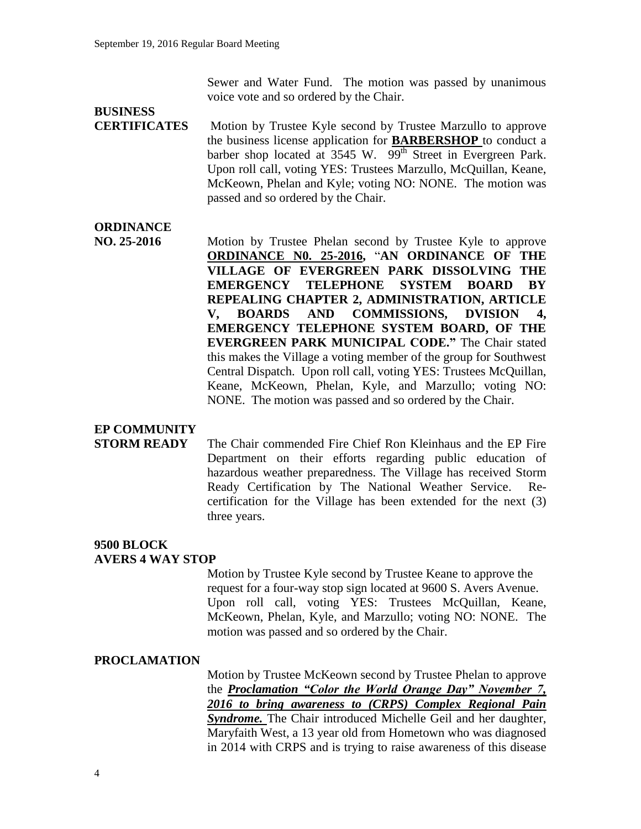Sewer and Water Fund. The motion was passed by unanimous voice vote and so ordered by the Chair.

## **BUSINESS**

**CERTIFICATES** Motion by Trustee Kyle second by Trustee Marzullo to approve the business license application for **BARBERSHOP** to conduct a barber shop located at  $3545$  W.  $99<sup>th</sup>$  Street in Evergreen Park. Upon roll call, voting YES: Trustees Marzullo, McQuillan, Keane, McKeown, Phelan and Kyle; voting NO: NONE. The motion was passed and so ordered by the Chair.

## **ORDINANCE**

**NO. 25-2016** Motion by Trustee Phelan second by Trustee Kyle to approve **ORDINANCE N0. 25-2016,** "**AN ORDINANCE OF THE VILLAGE OF EVERGREEN PARK DISSOLVING THE EMERGENCY TELEPHONE SYSTEM BOARD BY REPEALING CHAPTER 2, ADMINISTRATION, ARTICLE V, BOARDS AND COMMISSIONS, DVISION 4, EMERGENCY TELEPHONE SYSTEM BOARD, OF THE EVERGREEN PARK MUNICIPAL CODE."** The Chair stated this makes the Village a voting member of the group for Southwest Central Dispatch. Upon roll call, voting YES: Trustees McQuillan, Keane, McKeown, Phelan, Kyle, and Marzullo; voting NO: NONE. The motion was passed and so ordered by the Chair.

### **EP COMMUNITY**

**STORM READY** The Chair commended Fire Chief Ron Kleinhaus and the EP Fire Department on their efforts regarding public education of hazardous weather preparedness. The Village has received Storm Ready Certification by The National Weather Service. Recertification for the Village has been extended for the next (3) three years.

#### **9500 BLOCK AVERS 4 WAY STOP**

Motion by Trustee Kyle second by Trustee Keane to approve the request for a four-way stop sign located at 9600 S. Avers Avenue. Upon roll call, voting YES: Trustees McQuillan, Keane, McKeown, Phelan, Kyle, and Marzullo; voting NO: NONE. The motion was passed and so ordered by the Chair.

#### **PROCLAMATION**

Motion by Trustee McKeown second by Trustee Phelan to approve the *Proclamation "Color the World Orange Day" November 7, 2016 to bring awareness to (CRPS) Complex Regional Pain*  **Syndrome.** The Chair introduced Michelle Geil and her daughter, Maryfaith West, a 13 year old from Hometown who was diagnosed in 2014 with CRPS and is trying to raise awareness of this disease